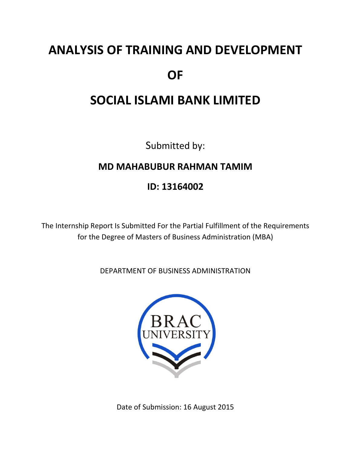# **ANALYSIS OF TRAINING AND DEVELOPMENT OF**

### **SOCIAL ISLAMI BANK LIMITED**

Submitted by:

### **MD MAHABUBUR RAHMAN TAMIM**

### **ID: 13164002**

The Internship Report Is Submitted For the Partial Fulfillment of the Requirements for the Degree of Masters of Business Administration (MBA)

DEPARTMENT OF BUSINESS ADMINISTRATION



Date of Submission: 16 August 2015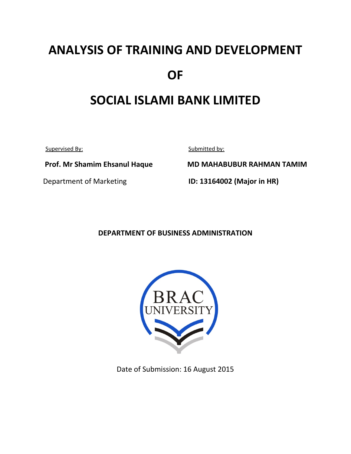# **ANALYSIS OF TRAINING AND DEVELOPMENT OF**

### **SOCIAL ISLAMI BANK LIMITED**

Supervised By: Submitted by:

 **Prof. Mr Shamim Ehsanul Haque MD MAHABUBUR RAHMAN TAMIM**

Department of Marketing **ID: 13164002 (Major in HR)**

#### **DEPARTMENT OF BUSINESS ADMINISTRATION**



Date of Submission: 16 August 2015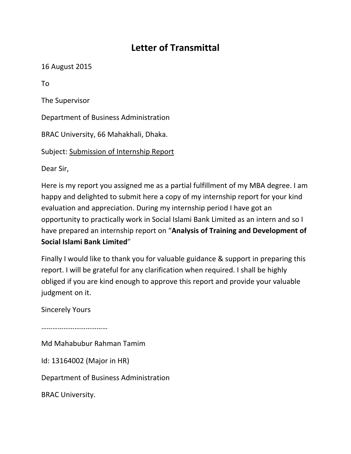### **Letter of Transmittal**

16 August 2015

To

The Supervisor

Department of Business Administration

BRAC University, 66 Mahakhali, Dhaka.

Subject: Submission of Internship Report

Dear Sir,

Here is my report you assigned me as a partial fulfillment of my MBA degree. I am happy and delighted to submit here a copy of my internship report for your kind evaluation and appreciation. During my internship period I have got an opportunity to practically work in Social Islami Bank Limited as an intern and so I have prepared an internship report on "**Analysis of Training and Development of Social Islami Bank Limited**"

Finally I would like to thank you for valuable guidance & support in preparing this report. I will be grateful for any clarification when required. I shall be highly obliged if you are kind enough to approve this report and provide your valuable judgment on it.

Sincerely Yours

……………………………………

Md Mahabubur Rahman Tamim

Id: 13164002 (Major in HR)

Department of Business Administration

BRAC University.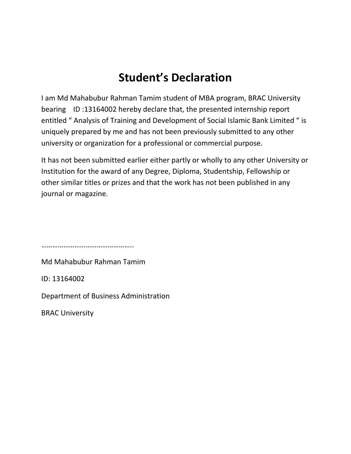### **Student's Declaration**

I am Md Mahabubur Rahman Tamim student of MBA program, BRAC University bearing ID :13164002 hereby declare that, the presented internship report entitled " Analysis of Training and Development of Social Islamic Bank Limited " is uniquely prepared by me and has not been previously submitted to any other university or organization for a professional or commercial purpose.

It has not been submitted earlier either partly or wholly to any other University or Institution for the award of any Degree, Diploma, Studentship, Fellowship or other similar titles or prizes and that the work has not been published in any journal or magazine.

……………………………………………

Md Mahabubur Rahman Tamim

ID: 13164002

Department of Business Administration

BRAC University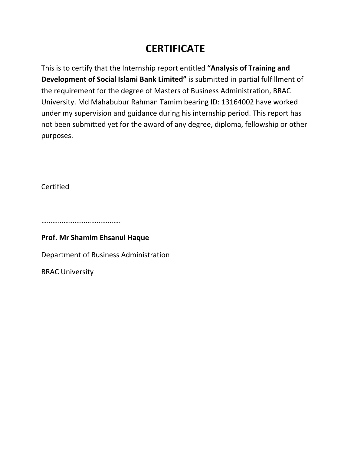### **CERTIFICATE**

This is to certify that the Internship report entitled **"Analysis of Training and Development of Social Islami Bank Limited"** is submitted in partial fulfillment of the requirement for the degree of Masters of Business Administration, BRAC University. Md Mahabubur Rahman Tamim bearing ID: 13164002 have worked under my supervision and guidance during his internship period. This report has not been submitted yet for the award of any degree, diploma, fellowship or other purposes.

Certified

………………………………………………

#### **Prof. Mr Shamim Ehsanul Haque**

Department of Business Administration

BRAC University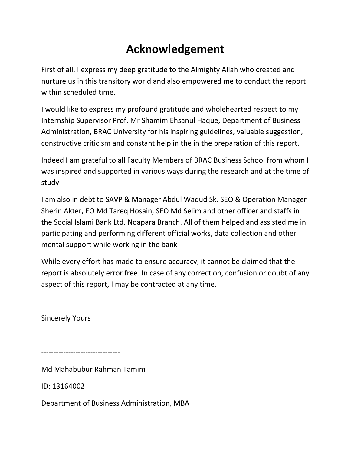### **Acknowledgement**

First of all, I express my deep gratitude to the Almighty Allah who created and nurture us in this transitory world and also empowered me to conduct the report within scheduled time.

I would like to express my profound gratitude and wholehearted respect to my Internship Supervisor Prof. Mr Shamim Ehsanul Haque, Department of Business Administration, BRAC University for his inspiring guidelines, valuable suggestion, constructive criticism and constant help in the in the preparation of this report.

Indeed I am grateful to all Faculty Members of BRAC Business School from whom I was inspired and supported in various ways during the research and at the time of study

I am also in debt to SAVP & Manager Abdul Wadud Sk. SEO & Operation Manager Sherin Akter, EO Md Tareq Hosain, SEO Md Selim and other officer and staffs in the Social Islami Bank Ltd, Noapara Branch. All of them helped and assisted me in participating and performing different official works, data collection and other mental support while working in the bank

While every effort has made to ensure accuracy, it cannot be claimed that the report is absolutely error free. In case of any correction, confusion or doubt of any aspect of this report, I may be contracted at any time.

Sincerely Yours

‐‐‐‐‐‐‐‐‐‐‐‐‐‐‐‐‐‐‐‐‐‐‐‐‐‐‐‐‐‐‐‐

Md Mahabubur Rahman Tamim

ID: 13164002

Department of Business Administration, MBA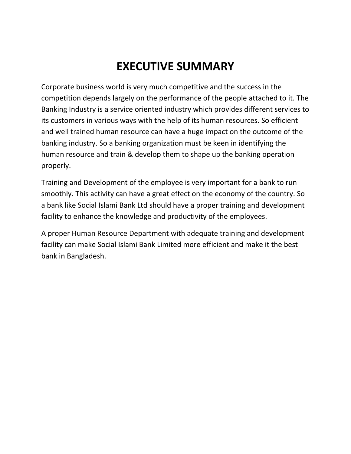# **EXECUTIVE SUMMARY**

Corporate business world is very much competitive and the success in the competition depends largely on the performance of the people attached to it. The Banking Industry is a service oriented industry which provides different services to its customers in various ways with the help of its human resources. So efficient and well trained human resource can have a huge impact on the outcome of the banking industry. So a banking organization must be keen in identifying the human resource and train & develop them to shape up the banking operation properly.

Training and Development of the employee is very important for a bank to run smoothly. This activity can have a great effect on the economy of the country. So a bank like Social Islami Bank Ltd should have a proper training and development facility to enhance the knowledge and productivity of the employees.

A proper Human Resource Department with adequate training and development facility can make Social Islami Bank Limited more efficient and make it the best bank in Bangladesh.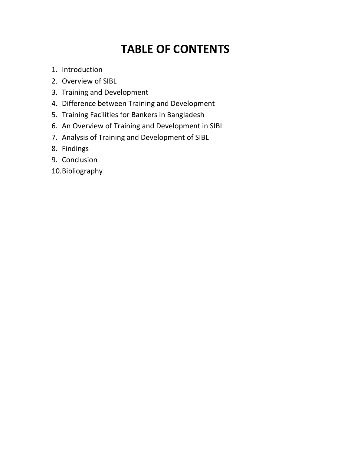# **TABLE OF CONTENTS**

- 1. Introduction
- 2. Overview of SIBL
- 3. Training and Development
- 4. Difference between Training and Development
- 5. Training Facilities for Bankers in Bangladesh
- 6. An Overview of Training and Development in SIBL
- 7. Analysis of Training and Development of SIBL
- 8. Findings
- 9. Conclusion
- 10.Bibliography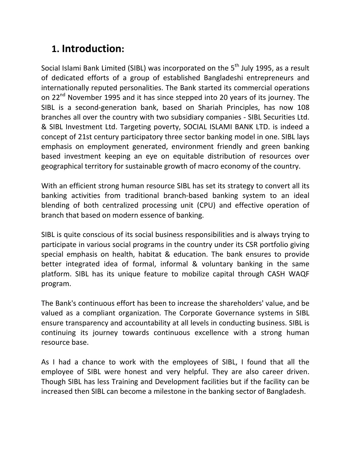### **1. Introduction:**

Social Islami Bank Limited (SIBL) was incorporated on the 5<sup>th</sup> July 1995, as a result of dedicated efforts of a group of established Bangladeshi entrepreneurs and internationally reputed personalities. The Bank started its commercial operations on 22<sup>nd</sup> November 1995 and it has since stepped into 20 years of its journey. The SIBL is a second-generation bank, based on Shariah Principles, has now 108 branches all over the country with two subsidiary companies ‐ SIBL Securities Ltd. & SIBL Investment Ltd. Targeting poverty, SOCIAL ISLAMI BANK LTD. is indeed a concept of 21st century participatory three sector banking model in one. SIBL lays emphasis on employment generated, environment friendly and green banking based investment keeping an eye on equitable distribution of resources over geographical territory for sustainable growth of macro economy of the country.

With an efficient strong human resource SIBL has set its strategy to convert all its banking activities from traditional branch‐based banking system to an ideal blending of both centralized processing unit (CPU) and effective operation of branch that based on modern essence of banking.

SIBL is quite conscious of its social business responsibilities and is always trying to participate in various social programs in the country under its CSR portfolio giving special emphasis on health, habitat & education. The bank ensures to provide better integrated idea of formal, informal & voluntary banking in the same platform. SIBL has its unique feature to mobilize capital through CASH WAQF program.

The Bank's continuous effort has been to increase the shareholders' value, and be valued as a compliant organization. The Corporate Governance systems in SIBL ensure transparency and accountability at all levels in conducting business. SIBL is continuing its journey towards continuous excellence with a strong human resource base.

As I had a chance to work with the employees of SIBL, I found that all the employee of SIBL were honest and very helpful. They are also career driven. Though SIBL has less Training and Development facilities but if the facility can be increased then SIBL can become a milestone in the banking sector of Bangladesh.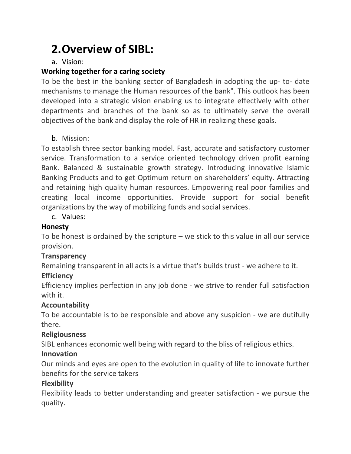# **2.Overview of SIBL:**

#### a. Vision:

#### **Working together for a caring society**

To be the best in the banking sector of Bangladesh in adopting the up‐ to‐ date mechanisms to manage the Human resources of the bank". This outlook has been developed into a strategic vision enabling us to integrate effectively with other departments and branches of the bank so as to ultimately serve the overall objectives of the bank and display the role of HR in realizing these goals.

#### b. Mission:

To establish three sector banking model. Fast, accurate and satisfactory customer service. Transformation to a service oriented technology driven profit earning Bank. Balanced & sustainable growth strategy. Introducing innovative Islamic Banking Products and to get Optimum return on shareholders' equity. Attracting and retaining high quality human resources. Empowering real poor families and creating local income opportunities. Provide support for social benefit organizations by the way of mobilizing funds and social services.

c. Values:

#### **Honesty**

To be honest is ordained by the scripture – we stick to this value in all our service provision.

#### **Transparency**

Remaining transparent in all acts is a virtue that's builds trust ‐ we adhere to it.

#### **Efficiency**

Efficiency implies perfection in any job done ‐ we strive to render full satisfaction with it.

#### **Accountability**

To be accountable is to be responsible and above any suspicion ‐ we are dutifully there.

#### **Religiousness**

SIBL enhances economic well being with regard to the bliss of religious ethics.

#### **Innovation**

Our minds and eyes are open to the evolution in quality of life to innovate further benefits for the service takers

#### **Flexibility**

Flexibility leads to better understanding and greater satisfaction ‐ we pursue the quality.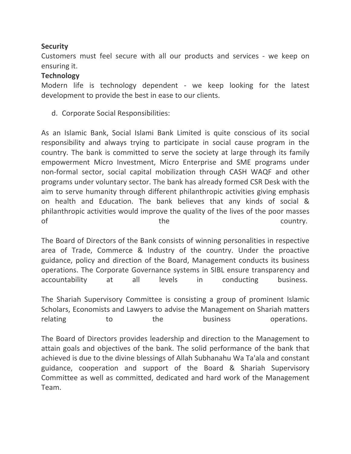#### **Security**

Customers must feel secure with all our products and services ‐ we keep on ensuring it.

#### **Technology**

Modern life is technology dependent - we keep looking for the latest development to provide the best in ease to our clients.

d. Corporate Social Responsibilities:

As an Islamic Bank, Social Islami Bank Limited is quite conscious of its social responsibility and always trying to participate in social cause program in the country. The bank is committed to serve the society at large through its family empowerment Micro Investment, Micro Enterprise and SME programs under non-formal sector, social capital mobilization through CASH WAQF and other programs under voluntary sector. The bank has already formed CSR Desk with the aim to serve humanity through different philanthropic activities giving emphasis on health and Education. The bank believes that any kinds of social & philanthropic activities would improve the quality of the lives of the poor masses of the the country.

The Board of Directors of the Bank consists of winning personalities in respective area of Trade, Commerce & Industry of the country. Under the proactive guidance, policy and direction of the Board, Management conducts its business operations. The Corporate Governance systems in SIBL ensure transparency and accountability at all levels in conducting business.

The Shariah Supervisory Committee is consisting a group of prominent Islamic Scholars, Economists and Lawyers to advise the Management on Shariah matters relating to the business operations.

The Board of Directors provides leadership and direction to the Management to attain goals and objectives of the bank. The solid performance of the bank that achieved is due to the divine blessings of Allah Subhanahu Wa Ta'ala and constant guidance, cooperation and support of the Board & Shariah Supervisory Committee as well as committed, dedicated and hard work of the Management Team.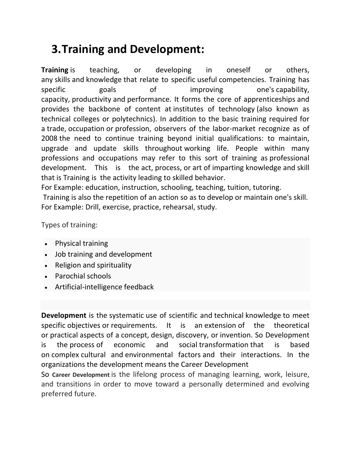# **3.Training and Development:**

**Training** is teaching, or developing in oneself or others, any skills and knowledge that relate to specific useful competencies. Training has specific goals of improving one's capability, capacity, productivity and performance. It forms the core of apprenticeships and provides the backbone of content at institutes of technology (also known as technical colleges or polytechnics). In addition to the basic training required for a trade, occupation or profession, observers of the labor‐market recognize as of 2008 the need to continue training beyond initial qualifications: to maintain, upgrade and update skills throughout working life. People within many professions and occupations may refer to this sort of training as professional development. This is the act, process, or art of imparting knowledge and skill that is Training is the activity leading to skilled behavior.

For Example: education, instruction, schooling, teaching, tuition, tutoring. Training is also the repetition of an action so as to develop or maintain one's skill. For Example: Drill, exercise, practice, rehearsal, study.

Types of training:

- Physical training
- Job training and development
- Religion and spirituality
- Parochial schools
- Artificial-intelligence feedback

**Development** is the systematic use of scientific and technical knowledge to meet specific objectives or requirements. It is an extension of the theoretical or practical aspects of a concept, design, discovery, or invention. So Development is the process of economic and social transformation that is based on complex cultural and environmental factors and their interactions. In the organizations the development means the Career Development

So **Career Development** is the lifelong process of managing learning, work, leisure, and transitions in order to move toward a personally determined and evolving preferred future.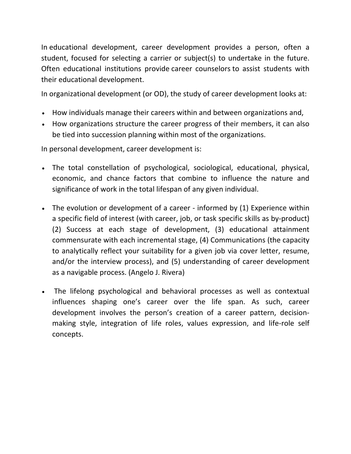In educational development, career development provides a person, often a student, focused for selecting a carrier or subject(s) to undertake in the future. Often educational institutions provide career counselors to assist students with their educational development.

In organizational development (or OD), the study of career development looks at:

- How individuals manage their careers within and between organizations and,
- How organizations structure the career progress of their members, it can also be tied into succession planning within most of the organizations.

In personal development, career development is:

- The total constellation of psychological, sociological, educational, physical, economic, and chance factors that combine to influence the nature and significance of work in the total lifespan of any given individual.
- The evolution or development of a career informed by (1) Experience within a specific field of interest (with career, job, or task specific skills as by‐product) (2) Success at each stage of development, (3) educational attainment commensurate with each incremental stage, (4) Communications (the capacity to analytically reflect your suitability for a given job via cover letter, resume, and/or the interview process), and (5) understanding of career development as a navigable process. (Angelo J. Rivera)
- The lifelong psychological and behavioral processes as well as contextual influences shaping one's career over the life span. As such, career development involves the person's creation of a career pattern, decision‐ making style, integration of life roles, values expression, and life-role self concepts.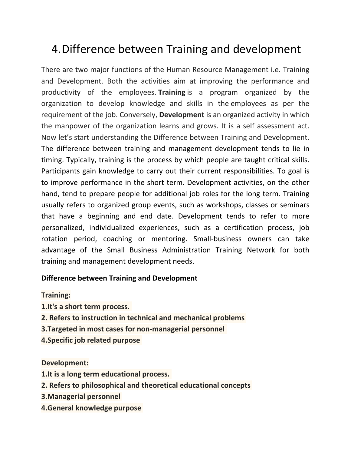### 4.Difference between Training and development

There are two major functions of the Human Resource Management i.e. Training and Development. Both the activities aim at improving the performance and productivity of the employees. **Training** is a program organized by the organization to develop knowledge and skills in the employees as per the requirement of the job. Conversely, **Development** is an organized activity in which the manpower of the organization learns and grows. It is a self assessment act. Now let's start understanding the Difference between Training and Development. The difference between training and management development tends to lie in timing. Typically, training is the process by which people are taught critical skills. Participants gain knowledge to carry out their current responsibilities. To goal is to improve performance in the short term. Development activities, on the other hand, tend to prepare people for additional job roles for the long term. Training usually refers to organized group events, such as workshops, classes or seminars that have a beginning and end date. Development tends to refer to more personalized, individualized experiences, such as a certification process, job rotation period, coaching or mentoring. Small‐business owners can take advantage of the Small Business Administration Training Network for both training and management development needs.

#### **Difference between Training and Development**

#### **Training:**

- **1.It's a short term process.**
- **2. Refers to instruction in technical and mechanical problems**
- **3.Targeted in most cases for non‐managerial personnel**
- **4.Specific job related purpose**

#### **Development:**

- **1.It is a long term educational process.**
- **2. Refers to philosophical and theoretical educational concepts**
- **3.Managerial personnel**
- **4.General knowledge purpose**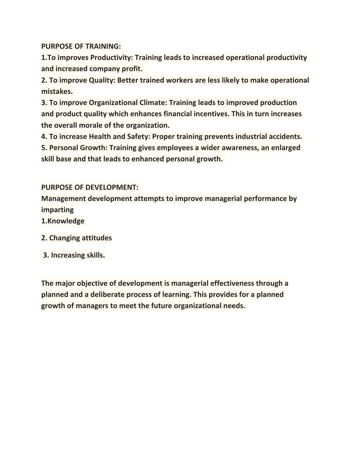**PURPOSE OF TRAINING:** 

**1.To improves Productivity: Training leads to increased operational productivity and increased company profit.** 

**2. To improve Quality: Better trained workers are less likely to make operational mistakes.** 

**3. To improve Organizational Climate: Training leads to improved production and product quality which enhances financial incentives. This in turn increases the overall morale of the organization.** 

**4. To increase Health and Safety: Proper training prevents industrial accidents.** 

**5. Personal Growth: Training gives employees a wider awareness, an enlarged skill base and that leads to enhanced personal growth.** 

**PURPOSE OF DEVELOPMENT:** 

**Management development attempts to improve managerial performance by imparting**

**1.Knowledge** 

- **2. Changing attitudes**
- **3. Increasing skills.**

**The major objective of development is managerial effectiveness through a planned and a deliberate process of learning. This provides for a planned growth of managers to meet the future organizational needs.**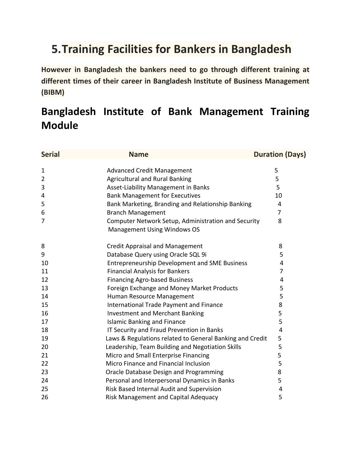### **5.Training Facilities for Bankers in Bangladesh**

**However in Bangladesh the bankers need to go through different training at different times of their career in Bangladesh Institute of Business Management (BIBM)**

### **Bangladesh Institute of Bank Management Training Module**

| <b>Serial</b>  | <b>Name</b>                                                                               | <b>Duration (Days)</b> |
|----------------|-------------------------------------------------------------------------------------------|------------------------|
|                |                                                                                           |                        |
| 1              | <b>Advanced Credit Management</b>                                                         | 5                      |
| $\overline{2}$ | <b>Agricultural and Rural Banking</b>                                                     | 5                      |
| 3              | Asset-Liability Management in Banks                                                       | 5                      |
| 4              | <b>Bank Management for Executives</b>                                                     | 10                     |
| 5              | Bank Marketing, Branding and Relationship Banking                                         | 4                      |
| 6              | <b>Branch Management</b>                                                                  | $\overline{7}$         |
| 7              | Computer Network Setup, Administration and Security<br><b>Management Using Windows OS</b> | 8                      |
| 8              | <b>Credit Appraisal and Management</b>                                                    | 8                      |
| 9              | Database Query using Oracle SQL 9i                                                        | 5                      |
| 10             | <b>Entrepreneurship Development and SME Business</b>                                      | 4                      |
| 11             | <b>Financial Analysis for Bankers</b>                                                     | 7                      |
| 12             | <b>Financing Agro-based Business</b>                                                      | 4                      |
| 13             | Foreign Exchange and Money Market Products                                                | 5                      |
| 14             | Human Resource Management                                                                 | 5                      |
| 15             | International Trade Payment and Finance                                                   | 8                      |
| 16             | <b>Investment and Merchant Banking</b>                                                    | 5                      |
| 17             | <b>Islamic Banking and Finance</b>                                                        | 5                      |
| 18             | IT Security and Fraud Prevention in Banks                                                 | 4                      |
| 19             | Laws & Regulations related to General Banking and Credit                                  | 5                      |
| 20             | Leadership, Team Building and Negotiation Skills                                          | 5                      |
| 21             | Micro and Small Enterprise Financing                                                      | 5                      |
| 22             | Micro Finance and Financial Inclusion                                                     | 5                      |
| 23             | Oracle Database Design and Programming                                                    | 8                      |
| 24             | Personal and Interpersonal Dynamics in Banks                                              | 5                      |
| 25             | Risk Based Internal Audit and Supervision                                                 | 4                      |
| 26             | Risk Management and Capital Adequacy                                                      | 5                      |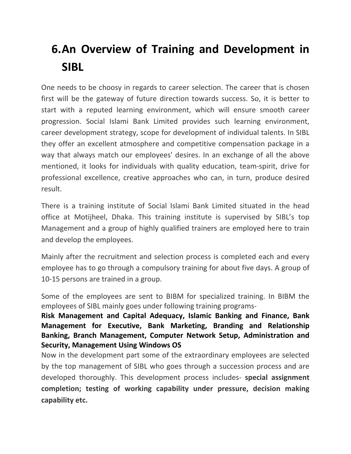# **6.An Overview of Training and Development in SIBL**

One needs to be choosy in regards to career selection. The career that is chosen first will be the gateway of future direction towards success. So, it is better to start with a reputed learning environment, which will ensure smooth career progression. Social Islami Bank Limited provides such learning environment, career development strategy, scope for development of individual talents. In SIBL they offer an excellent atmosphere and competitive compensation package in a way that always match our employees' desires. In an exchange of all the above mentioned, it looks for individuals with quality education, team‐spirit, drive for professional excellence, creative approaches who can, in turn, produce desired result.

There is a training institute of Social Islami Bank Limited situated in the head office at Motijheel, Dhaka. This training institute is supervised by SIBL's top Management and a group of highly qualified trainers are employed here to train and develop the employees.

Mainly after the recruitment and selection process is completed each and every employee has to go through a compulsory training for about five days. A group of 10‐15 persons are trained in a group.

Some of the employees are sent to BIBM for specialized training. In BIBM the employees of SIBL mainly goes under following training programs‐

**Risk Management and Capital Adequacy, Islamic Banking and Finance, Bank Management for Executive, Bank Marketing, Branding and Relationship Banking, Branch Management, Computer Network Setup, Administration and Security, Management Using Windows OS**

Now in the development part some of the extraordinary employees are selected by the top management of SIBL who goes through a succession process and are developed thoroughly. This development process includes‐ **special assignment completion; testing of working capability under pressure, decision making capability etc.**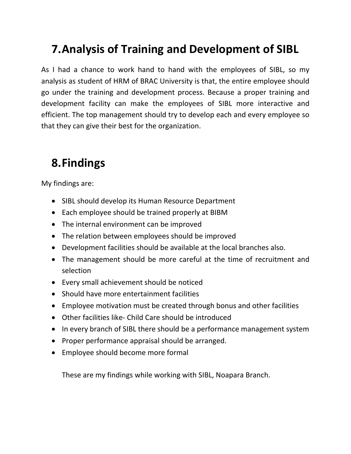## **7.Analysis of Training and Development of SIBL**

As I had a chance to work hand to hand with the employees of SIBL, so my analysis as student of HRM of BRAC University is that, the entire employee should go under the training and development process. Because a proper training and development facility can make the employees of SIBL more interactive and efficient. The top management should try to develop each and every employee so that they can give their best for the organization.

### **8.Findings**

My findings are:

- SIBL should develop its Human Resource Department
- Each employee should be trained properly at BIBM
- The internal environment can be improved
- The relation between employees should be improved
- Development facilities should be available at the local branches also.
- The management should be more careful at the time of recruitment and selection
- Every small achievement should be noticed
- Should have more entertainment facilities
- Employee motivation must be created through bonus and other facilities
- Other facilities like- Child Care should be introduced
- In every branch of SIBL there should be a performance management system
- Proper performance appraisal should be arranged.
- Employee should become more formal

These are my findings while working with SIBL, Noapara Branch.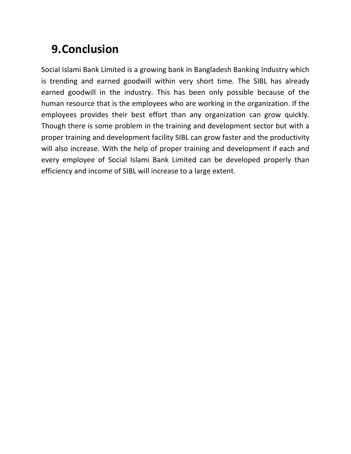# **9.Conclusion**

Social Islami Bank Limited is a growing bank in Bangladesh Banking Industry which is trending and earned goodwill within very short time. The SIBL has already earned goodwill in the industry. This has been only possible because of the human resource that is the employees who are working in the organization. If the employees provides their best effort than any organization can grow quickly. Though there is some problem in the training and development sector but with a proper training and development facility SIBL can grow faster and the productivity will also increase. With the help of proper training and development if each and every employee of Social Islami Bank Limited can be developed properly than efficiency and income of SIBL will increase to a large extent.